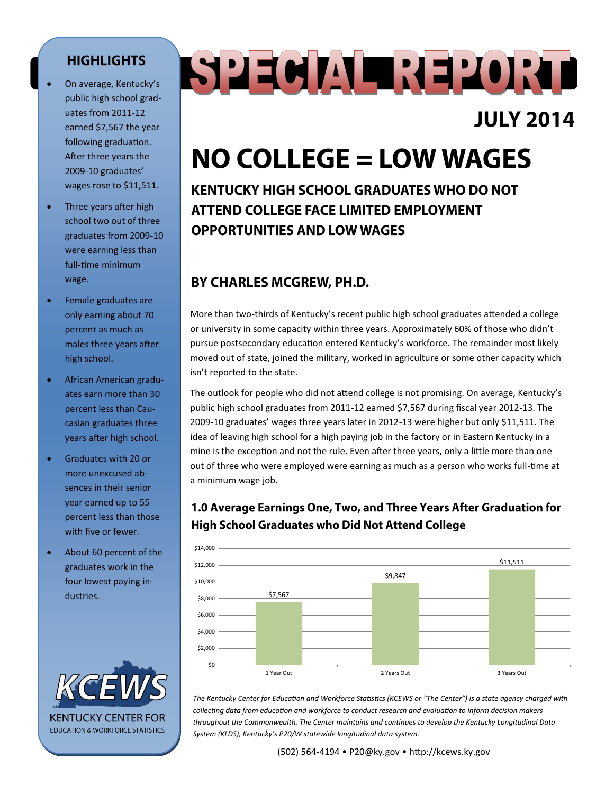#### **HIGHLIGHTS**

- On average, Kentucky's public high school graduates from 2011-12 earned \$7,567 the year following graduation. After three years the 2009-10 graduates' wages rose to \$11,511.
- Three years after high school two out of three graduates from 2009-10 were earning less than full-time minimum wage.
- Female graduates are only earning about 70 percent as much as males three years after high school.
- African American graduates earn more than 30 percent less than Caucasian graduates three years after high school.
- Graduates with 20 or more unexcused absences in their senior year earned up to 55 percent less than those with five or fewer.
- About 60 percent of the graduates work in the four lowest paying industries.



# SPECIAL REPORT

### **JULY 2014**

## $NO$  COLLEGE = LOW WAGES

**KENTUCKY HIGH SCHOOL GRADUATES WHO DO NOT ATTEND COLLEGE FACE LIMITED EMPLOYMENT OPPORTUNITIES AND LOW WAGES** 

#### BY CHARLES MCGREW, PH.D.

More than two-thirds of Kentucky's recent public high school graduates attended a college or university in some capacity within three years. Approximately 60% of those who didn't pursue postsecondary education entered Kentucky's workforce. The remainder most likely moved out of state, joined the military, worked in agriculture or some other capacity which isn't reported to the state.

The outlook for people who did not attend college is not promising. On average, Kentucky's public high school graduates from 2011-12 earned \$7,567 during fiscal year 2012-13. The 2009-10 graduates' wages three years later in 2012-13 were higher but only \$11,511. The idea of leaving high school for a high paying job in the factory or in Eastern Kentucky in a mine is the exception and not the rule. Even after three years, only a little more than one out of three who were employed were earning as much as a person who works full-time at a minimum wage job.

#### 1.0 Average Earnings One, Two, and Three Years After Graduation for **High School Graduates who Did Not Attend College**



*The Kentucky Center for Education and Workforce Statistics (KCEWS or "The Center") is a state agency charged with collecting data from education and workforce to conduct research and evaluation to inform decision makers throughout the Commonwealth. The Center maintains and continues to develop the Kentucky Longitudinal Data System (KLDS), Kentucky's P20/W statewide longitudinal data system.*

(502) 564-4194 • P20@ky.gov • http://kcews.ky.gov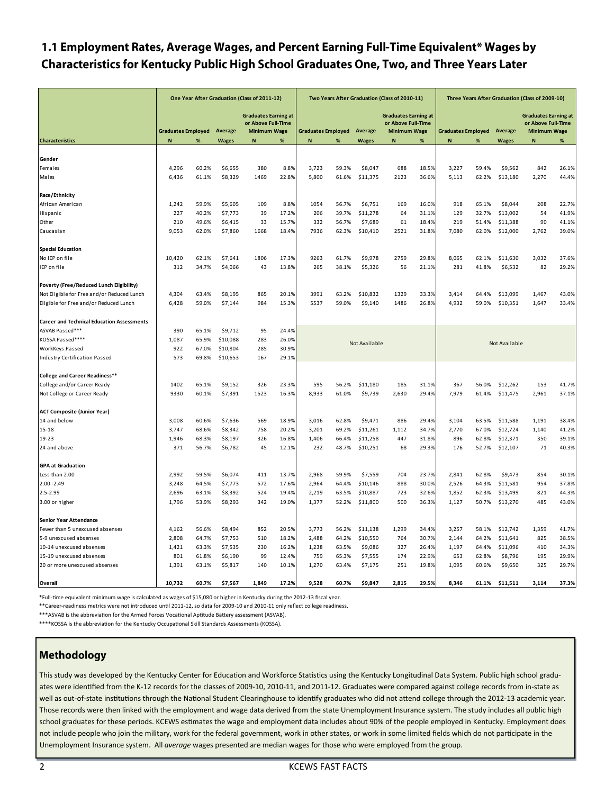#### 1.1 Employment Rates, Average Wages, and Percent Earning Full-Time Equivalent\* Wages by Characteristics for Kentucky Public High School Graduates One, Two, and Three Years Later

|                                                                                                                             | One Year After Graduation (Class of 2011-12) |                |                    |                                                                          |                | Two Years After Graduation (Class of 2010-11) |                |               |                                                                          |       | Three Years After Graduation (Class of 2009-10) |                |                     |                                                                          |       |
|-----------------------------------------------------------------------------------------------------------------------------|----------------------------------------------|----------------|--------------------|--------------------------------------------------------------------------|----------------|-----------------------------------------------|----------------|---------------|--------------------------------------------------------------------------|-------|-------------------------------------------------|----------------|---------------------|--------------------------------------------------------------------------|-------|
|                                                                                                                             | <b>Graduates Employed</b><br>Average         |                |                    | <b>Graduates Earning at</b><br>or Above Full-Time<br><b>Minimum Wage</b> |                | <b>Graduates Employed</b>                     |                | Average       | <b>Graduates Earning at</b><br>or Above Full-Time<br><b>Minimum Wage</b> |       | <b>Graduates Employed</b><br>Average            |                |                     | <b>Graduates Earning at</b><br>or Above Full-Time<br><b>Minimum Wage</b> |       |
| <b>Characteristics</b>                                                                                                      | N                                            | $\%$           | <b>Wages</b>       | N                                                                        | $\%$           | N                                             | %              | <b>Wages</b>  | N                                                                        | $\%$  | N                                               | %              | <b>Wages</b>        | N                                                                        | $\%$  |
|                                                                                                                             |                                              |                |                    |                                                                          |                |                                               |                |               |                                                                          |       |                                                 |                |                     |                                                                          |       |
| Gender                                                                                                                      |                                              |                |                    |                                                                          |                |                                               |                |               |                                                                          |       |                                                 |                |                     |                                                                          |       |
| Females                                                                                                                     | 4,296                                        | 60.2%          | \$6,655            | 380                                                                      | 8.8%           | 3,723                                         | 59.3%          | \$8,047       | 688                                                                      | 18.5% | 3,227                                           | 59.4%          | \$9,562             | 842                                                                      | 26.1% |
| Males                                                                                                                       | 6,436                                        | 61.1%          | \$8,329            | 1469                                                                     | 22.8%          | 5,800                                         | 61.6%          | \$11,375      | 2123                                                                     | 36.6% | 5,113                                           | 62.2%          | \$13,180            | 2,270                                                                    | 44.4% |
| Race/Ethnicity                                                                                                              |                                              |                |                    |                                                                          |                |                                               |                |               |                                                                          |       |                                                 |                |                     |                                                                          |       |
| African American                                                                                                            | 1,242                                        | 59.9%          | \$5,605            | 109                                                                      | 8.8%           | 1054                                          | 56.7%          | \$6,751       | 169                                                                      | 16.0% | 918                                             | 65.1%          | \$8,044             | 208                                                                      | 22.7% |
| Hispanic                                                                                                                    | 227                                          | 40.2%          | \$7,773            | 39                                                                       | 17.2%          | 206                                           | 39.7%          | \$11,278      | 64                                                                       | 31.1% | 129                                             | 32.7%          | \$13,002            | 54                                                                       | 41.9% |
| Other                                                                                                                       | 210                                          | 49.6%          | \$6,415            | 33                                                                       | 15.7%          | 332                                           | 56.7%          | \$7,689       | 61                                                                       | 18.4% | 219                                             | 51.4%          | \$11,388            | 90                                                                       | 41.1% |
| Caucasian                                                                                                                   | 9,053                                        | 62.0%          | \$7,860            | 1668                                                                     | 18.4%          | 7936                                          | 62.3%          | \$10,410      | 2521                                                                     | 31.8% | 7,080                                           | 62.0%          | \$12,000            | 2,762                                                                    | 39.0% |
|                                                                                                                             |                                              |                |                    |                                                                          |                |                                               |                |               |                                                                          |       |                                                 |                |                     |                                                                          |       |
| <b>Special Education</b>                                                                                                    |                                              |                |                    |                                                                          |                |                                               |                |               |                                                                          |       |                                                 |                |                     |                                                                          |       |
| No IEP on file                                                                                                              | 10,420                                       | 62.1%          | \$7,641            | 1806                                                                     | 17.3%          | 9263                                          | 61.7%          | \$9,978       | 2759                                                                     | 29.8% | 8,065                                           | 62.1%          | \$11,630            | 3,032                                                                    | 37.6% |
| IEP on file                                                                                                                 | 312                                          | 34.7%          | \$4,066            | 43                                                                       | 13.8%          | 265                                           | 38.1%          | \$5,326       | 56                                                                       | 21.1% | 281                                             | 41.8%          | \$6,532             | 82                                                                       | 29.2% |
|                                                                                                                             |                                              |                |                    |                                                                          |                |                                               |                |               |                                                                          |       |                                                 |                |                     |                                                                          |       |
| Poverty (Free/Reduced Lunch Eligibility)                                                                                    |                                              |                |                    |                                                                          |                |                                               |                |               |                                                                          |       |                                                 |                |                     |                                                                          |       |
| Not Eligible for Free and/or Reduced Lunch                                                                                  | 4,304                                        | 63.4%          | \$8,195            | 865                                                                      | 20.1%          | 3991                                          | 63.2%          | \$10,832      | 1329                                                                     | 33.3% | 3,414                                           | 64.4%          | \$13,099            | 1,467                                                                    | 43.0% |
| Eligible for Free and/or Reduced Lunch                                                                                      | 6,428                                        | 59.0%          | \$7,144            | 984                                                                      | 15.3%          | 5537                                          | 59.0%          | \$9,140       | 1486                                                                     | 26.8% | 4,932                                           | 59.0%          | \$10,351            | 1,647                                                                    | 33.4% |
| <b>Career and Technical Education Assessments</b>                                                                           |                                              |                |                    |                                                                          |                |                                               |                |               |                                                                          |       |                                                 |                |                     |                                                                          |       |
| ASVAB Passed***                                                                                                             | 390                                          | 65.1%          | \$9,712            | 95                                                                       | 24.4%          |                                               |                |               |                                                                          |       |                                                 |                |                     |                                                                          |       |
| KOSSA Passed****                                                                                                            | 1,087                                        | 65.9%          | \$10,088           | 283                                                                      | 26.0%          |                                               |                |               |                                                                          |       |                                                 |                |                     |                                                                          |       |
| WorkKeys Passed                                                                                                             | 922                                          | 67.0%          | \$10,804           | 285                                                                      | 30.9%          |                                               |                | Not Available |                                                                          |       |                                                 |                | Not Available       |                                                                          |       |
| Industry Certification Passed                                                                                               | 573                                          | 69.8%          | \$10,653           | 167                                                                      | 29.1%          |                                               |                |               |                                                                          |       |                                                 |                |                     |                                                                          |       |
|                                                                                                                             |                                              |                |                    |                                                                          |                |                                               |                |               |                                                                          |       |                                                 |                |                     |                                                                          |       |
| <b>College and Career Readiness**</b>                                                                                       |                                              |                |                    |                                                                          |                |                                               |                |               |                                                                          |       |                                                 |                |                     |                                                                          |       |
| College and/or Career Ready                                                                                                 | 1402                                         | 65.1%          | \$9,152            | 326                                                                      | 23.3%          | 595                                           | 56.2%          | \$11,180      | 185                                                                      | 31.1% | 367                                             | 56.0%          | \$12,262            | 153                                                                      | 41.7% |
| Not College or Career Ready                                                                                                 | 9330                                         | 60.1%          | \$7,391            | 1523                                                                     | 16.3%          | 8,933                                         | 61.0%          | \$9,739       | 2,630                                                                    | 29.4% | 7,979                                           | 61.4%          | \$11,475            | 2,961                                                                    | 37.1% |
| <b>ACT Composite (Junior Year)</b>                                                                                          |                                              |                |                    |                                                                          |                |                                               |                |               |                                                                          |       |                                                 |                |                     |                                                                          |       |
| 14 and below                                                                                                                | 3,008                                        | 60.6%          | \$7,636            | 569                                                                      | 18.9%          | 3,016                                         | 62.8%          | \$9,471       | 886                                                                      | 29.4% | 3,104                                           | 63.5%          | \$11,588            | 1,191                                                                    | 38.4% |
| $15 - 18$                                                                                                                   | 3,747                                        | 68.6%          | \$8,342            | 758                                                                      | 20.2%          | 3,201                                         | 69.2%          | \$11,261      | 1,112                                                                    | 34.7% | 2,770                                           | 67.0%          | \$12,724            | 1,140                                                                    | 41.2% |
| 19-23                                                                                                                       | 1,946                                        | 68.3%          | \$8,197            | 326                                                                      | 16.8%          | 1,406                                         | 66.4%          | \$11,258      | 447                                                                      | 31.8% | 896                                             | 62.8%          | \$12,371            | 350                                                                      | 39.1% |
| 24 and above                                                                                                                | 371                                          | 56.7%          | \$6,782            | 45                                                                       | 12.1%          | 232                                           | 48.7%          | \$10,251      | 68                                                                       | 29.3% | 176                                             | 52.7%          | \$12,107            | 71                                                                       | 40.3% |
| <b>GPA at Graduation</b>                                                                                                    |                                              |                |                    |                                                                          |                |                                               |                |               |                                                                          |       |                                                 |                |                     |                                                                          |       |
| Less than 2.00                                                                                                              | 2,992                                        | 59.5%          | \$6,074            |                                                                          |                | 2,968                                         | 59.9%          | \$7,559       | 704                                                                      | 23.7% | 2,841                                           | 62.8%          |                     | 854                                                                      | 30.1% |
| $2.00 - 2.49$                                                                                                               |                                              |                |                    | 411                                                                      | 13.7%          | 2,964                                         |                | \$10,146      | 888                                                                      | 30.0% |                                                 |                | \$9,473<br>\$11,581 | 954                                                                      | 37.8% |
| 2.5-2.99                                                                                                                    | 3,248<br>2,696                               | 64.5%          | \$7,773<br>\$8,392 | 572<br>524                                                               | 17.6%<br>19.4% | 2,219                                         | 64.4%<br>63.5% | \$10,887      | 723                                                                      | 32.6% | 2,526<br>1,852                                  | 64.3%<br>62.3% | \$13,499            | 821                                                                      | 44.3% |
| 3.00 or higher                                                                                                              | 1,796                                        | 63.1%<br>53.9% | \$8,293            | 342                                                                      | 19.0%          | 1,377                                         | 52.2%          | \$11,800      | 500                                                                      | 36.3% | 1,127                                           | 50.7%          | \$13,270            | 485                                                                      | 43.0% |
|                                                                                                                             |                                              |                |                    |                                                                          |                |                                               |                |               |                                                                          |       |                                                 |                |                     |                                                                          |       |
| <b>Senior Year Attendance</b>                                                                                               |                                              |                |                    |                                                                          |                |                                               |                |               |                                                                          |       |                                                 |                |                     |                                                                          |       |
| Fewer than 5 unexcused absenses                                                                                             | 4,162                                        | 56.6%          | \$8,494            | 852                                                                      | 20.5%          | 3,773                                         | 56.2%          | \$11,138      | 1,299                                                                    | 34.4% | 3,257                                           | 58.1%          | \$12,742            | 1,359                                                                    | 41.7% |
| 5-9 unexcused absenses                                                                                                      | 2,808                                        | 64.7%          | \$7,753            | 510                                                                      | 18.2%          | 2,488                                         | 64.2%          | \$10,550      | 764                                                                      | 30.7% | 2,144                                           | 64.2%          | \$11,641            | 825                                                                      | 38.5% |
| 10-14 unexcused absenses                                                                                                    | 1,421                                        | 63.3%          | \$7,535            | 230                                                                      | 16.2%          | 1,238                                         | 63.5%          | \$9,086       | 327                                                                      | 26.4% | 1,197                                           | 64.4%          | \$11,096            | 410                                                                      | 34.3% |
| 15-19 unexcused absenses                                                                                                    | 801                                          | 61.8%          | \$6,190            | 99                                                                       | 12.4%          | 759                                           | 65.3%          | \$7,555       | 174                                                                      | 22.9% | 653                                             | 62.8%          | \$8,796             | 195                                                                      | 29.9% |
| 20 or more unexcused absenses                                                                                               | 1,391                                        | 63.1%          | \$5,817            | 140                                                                      | 10.1%          | 1,270                                         | 63.4%          | \$7,175       | 251                                                                      | 19.8% | 1,095                                           | 60.6%          | \$9,650             | 325                                                                      | 29.7% |
| Overall                                                                                                                     | 10,732                                       | 60.7%          | \$7,567            | 1.849                                                                    | 17.2%          | 9,528                                         | 60.7%          | \$9,847       | 2.815                                                                    | 29.5% | 8,346                                           | 61.1%          | \$11,511            | 3,114                                                                    | 37.3% |
| *Full-time equivalent minimum wage is calculated as wages of \$15,080 or higher in Kentucky during the 2012-13 fiscal year. |                                              |                |                    |                                                                          |                |                                               |                |               |                                                                          |       |                                                 |                |                     |                                                                          |       |

\*\*Career-readiness metrics were not introduced until 2011-12, so data for 2009-10 and 2010-11 only reflect college readiness.

\*\*\* ASVAB is the abbreviation for the Armed Forces Vocational Aptitude Battery assessment (ASVAB). \*\*\*\*KOSSA is the abbreviation for the Kentucky Occupational Skill Standards Assessments (KOSSA).

#### Methodology

This study was developed by the Kentucky Center for Education and Workforce Statistics using the Kentucky Longitudinal Data System. Public high school graduates were identified from the K-12 records for the classes of 2009-10, 2010-11, and 2011-12. Graduates were compared against college records from in-state as well as out-of-state institutions through the National Student Clearinghouse to identify graduates who did not attend college through the 2012-13 academic year. Those records were then linked with the employment and wage data derived from the state Unemployment Insurance system. The study includes all public high school graduates for these periods. KCEWS estimates the wage and employment data includes about 90% of the people employed in Kentucky. Employment does not include people who join the military, work for the federal government, work in other states, or work in some limited fields which do not participate in the Unemployment Insurance system. All *average* wages presented are median wages for those who were employed from the group.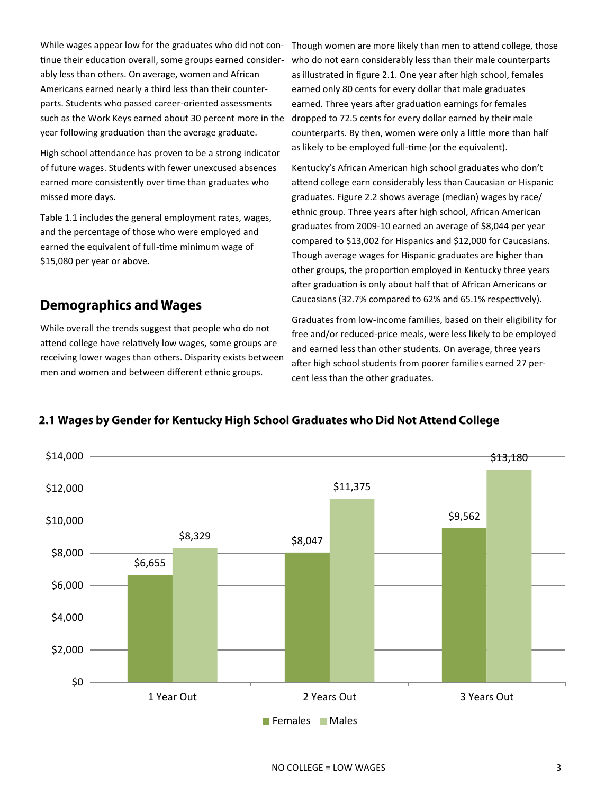While wages appear low for the graduates who did not continue their education overall, some groups earned considerably less than others. On average, women and African Americans earned nearly a third less than their counterparts. Students who passed career-oriented assessments such as the Work Keys earned about 30 percent more in the year following graduation than the average graduate.

High school attendance has proven to be a strong indicator of future wages. Students with fewer unexcused absences earned more consistently over time than graduates who missed more days.

Table 1.1 includes the general employment rates, wages, and the percentage of those who were employed and earned the equivalent of full-time minimum wage of \$15,080 per year or above.

#### **Demographics and Wages**

While overall the trends suggest that people who do not attend college have relatively low wages, some groups are receiving lower wages than others. Disparity exists between men and women and between different ethnic groups.

Though women are more likely than men to attend college, those who do not earn considerably less than their male counterparts as illustrated in figure 2.1. One year after high school, females earned only 80 cents for every dollar that male graduates earned. Three years after graduation earnings for females dropped to 72.5 cents for every dollar earned by their male counterparts. By then, women were only a little more than half as likely to be employed full-time (or the equivalent).

Kentucky's African American high school graduates who don't attend college earn considerably less than Caucasian or Hispanic graduates. Figure 2.2 shows average (median) wages by race/ ethnic group. Three years after high school, African American graduates from 2009-10 earned an average of \$8,044 per year compared to \$13,002 for Hispanics and \$12,000 for Caucasians. Though average wages for Hispanic graduates are higher than other groups, the proportion employed in Kentucky three years after graduation is only about half that of African Americans or Caucasians (32.7% compared to 62% and 65.1% respectively).

Graduates from low-income families, based on their eligibility for free and/or reduced-price meals, were less likely to be employed and earned less than other students. On average, three years after high school students from poorer families earned 27 percent less than the other graduates.



#### 2.1 Wages by Gender for Kentucky High School Graduates who Did Not Attend College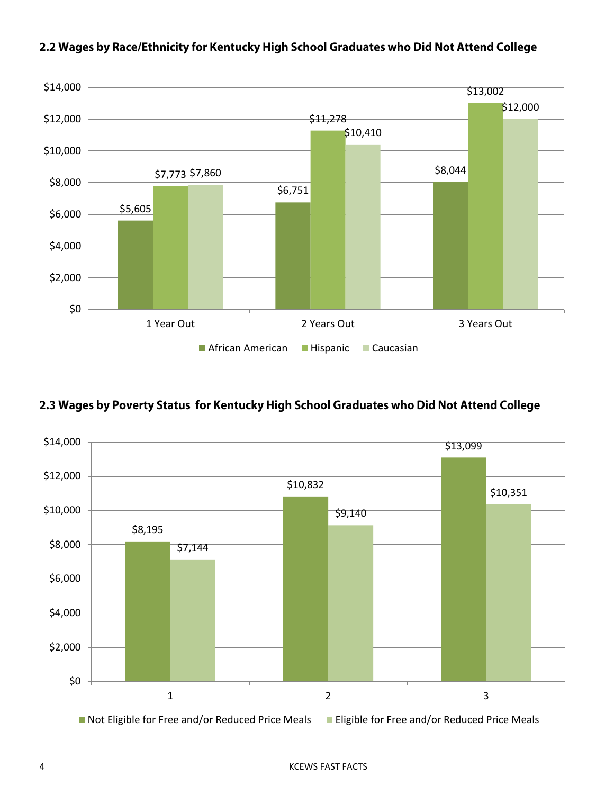

#### 2.2 Wages by Race/Ethnicity for Kentucky High School Graduates who Did Not Attend College

#### 2.3 Wages by Poverty Status for Kentucky High School Graduates who Did Not Attend College



4 KCEWS FAST FACTS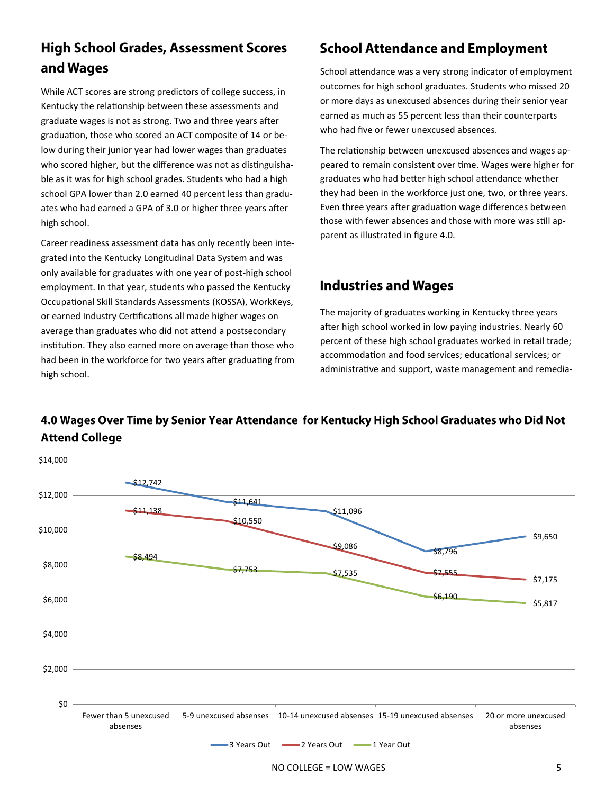#### **High School Grades, Assessment Scores** and Wages

While ACT scores are strong predictors of college success, in Kentucky the relationship between these assessments and graduate wages is not as strong. Two and three years after graduation, those who scored an ACT composite of 14 or below during their junior year had lower wages than graduates who scored higher, but the difference was not as distinguishable as it was for high school grades. Students who had a high school GPA lower than 2.0 earned 40 percent less than graduates who had earned a GPA of 3.0 or higher three years after high school.

Career readiness assessment data has only recently been integrated into the Kentucky Longitudinal Data System and was only available for graduates with one year of post-high school employment. In that year, students who passed the Kentucky Occupational Skill Standards Assessments (KOSSA), WorkKeys, or earned Industry Certifications all made higher wages on average than graduates who did not attend a postsecondary institution. They also earned more on average than those who had been in the workforce for two years after graduating from high school.

#### **School Attendance and Employment**

School attendance was a very strong indicator of employment outcomes for high school graduates. Students who missed 20 or more days as unexcused absences during their senior year earned as much as 55 percent less than their counterparts who had five or fewer unexcused absences.

The relationship between unexcused absences and wages appeared to remain consistent over time. Wages were higher for graduates who had better high school attendance whether they had been in the workforce just one, two, or three years. Even three years after graduation wage differences between those with fewer absences and those with more was still apparent as illustrated in figure 4.0.

#### **Industries and Wages**

The majority of graduates working in Kentucky three years after high school worked in low paying industries. Nearly 60 percent of these high school graduates worked in retail trade; accommodation and food services; educational services; or administrative and support, waste management and remedia-

#### $$12,742$ \$11,641 \$11,096 \$8,796 \$9,650  $-511,138$ \$10,550 \$9,086 \$7,555 \$7,175  $-$ \$8,494  $$7,753$   $$7,535$  $$6,190$   $$5,817$ \$0 \$2,000 \$4,000 \$6,000 \$8,000 \$10,000 \$12,000 \$14,000 Fewer than 5 unexcused absenses 5-9 unexcused absenses 10-14 unexcused absenses 15-19 unexcused absenses 20 or more unexcused absenses -3 Years Out  $\longrightarrow$  2 Years Out  $\longrightarrow$  1 Year Out

#### 4.0 Wages Over Time by Senior Year Attendance for Kentucky High School Graduates who Did Not **Attend College**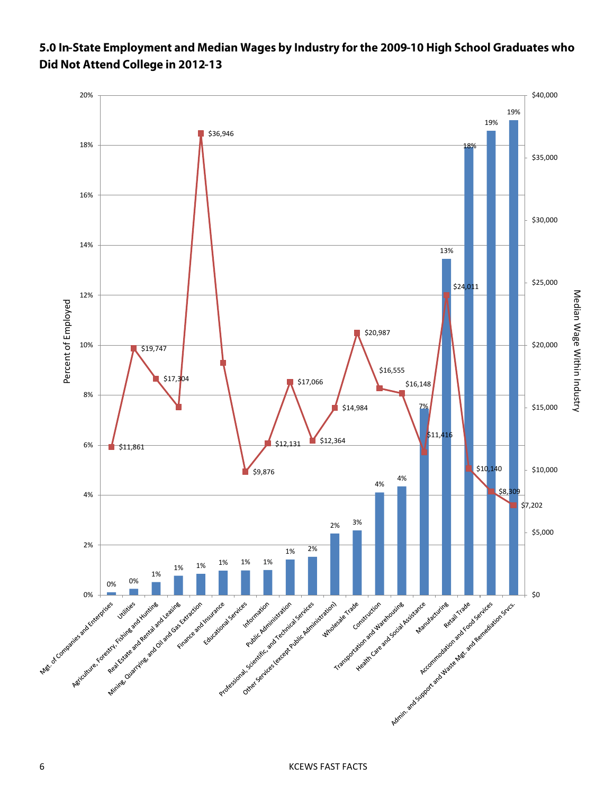#### 5.0 In-State Employment and Median Wages by Industry for the 2009-10 High School Graduates who Did Not Attend College in 2012-13

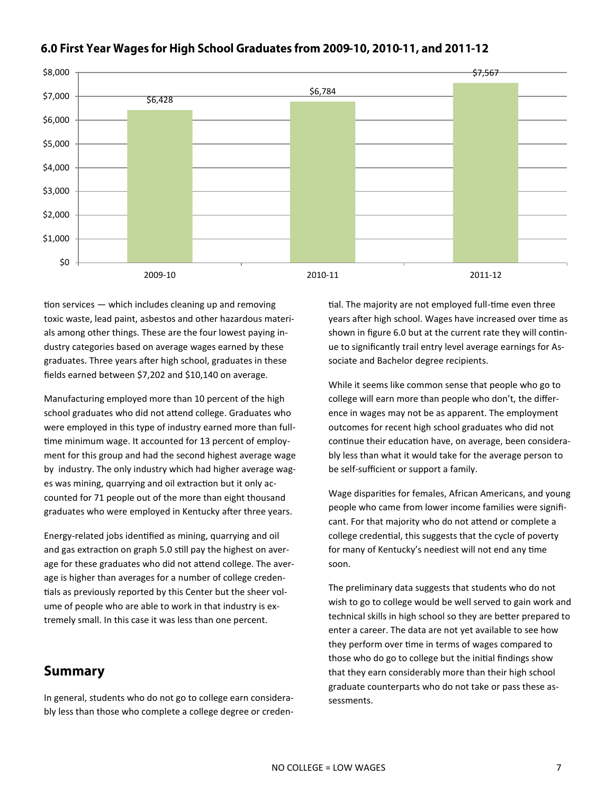

#### 6.0 First Year Wages for High School Graduates from 2009-10, 2010-11, and 2011-12

tion services — which includes cleaning up and removing toxic waste, lead paint, asbestos and other hazardous materials among other things. These are the four lowest paying industry categories based on average wages earned by these graduates. Three years after high school, graduates in these fields earned between \$7,202 and \$10,140 on average.

Manufacturing employed more than 10 percent of the high school graduates who did not attend college. Graduates who were employed in this type of industry earned more than fulltime minimum wage. It accounted for 13 percent of employment for this group and had the second highest average wage by industry. The only industry which had higher average wages was mining, quarrying and oil extraction but it only accounted for 71 people out of the more than eight thousand graduates who were employed in Kentucky after three years.

Energy-related jobs identified as mining, quarrying and oil and gas extraction on graph 5.0 still pay the highest on average for these graduates who did not attend college. The average is higher than averages for a number of college credentials as previously reported by this Center but the sheer volume of people who are able to work in that industry is extremely small. In this case it was less than one percent.

#### **Summary**

In general, students who do not go to college earn considerably less than those who complete a college degree or credential. The majority are not employed full-time even three years after high school. Wages have increased over time as shown in figure 6.0 but at the current rate they will continue to significantly trail entry level average earnings for Associate and Bachelor degree recipients.

While it seems like common sense that people who go to college will earn more than people who don't, the difference in wages may not be as apparent. The employment outcomes for recent high school graduates who did not continue their education have, on average, been considerably less than what it would take for the average person to be self-sufficient or support a family.

Wage disparities for females, African Americans, and young people who came from lower income families were significant. For that majority who do not attend or complete a college credential, this suggests that the cycle of poverty for many of Kentucky's neediest will not end any time soon.

The preliminary data suggests that students who do not wish to go to college would be well served to gain work and technical skills in high school so they are better prepared to enter a career. The data are not yet available to see how they perform over time in terms of wages compared to those who do go to college but the initial findings show that they earn considerably more than their high school graduate counterparts who do not take or pass these assessments.